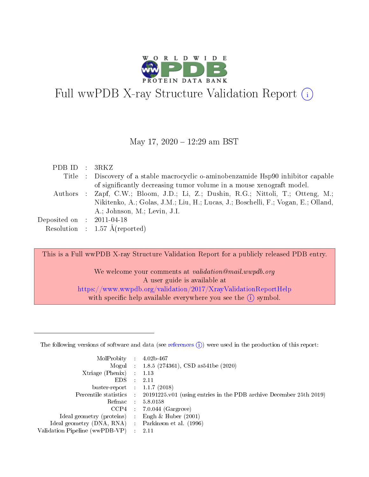

# Full wwPDB X-ray Structure Validation Report (i)

#### May 17, 2020 - 12:29 am BST

| PDBID : 3RKZ                |                                                                                    |
|-----------------------------|------------------------------------------------------------------------------------|
|                             | Title : Discovery of a stable macrocyclic o-aminobenzamide Hsp90 inhibitor capable |
|                             | of significantly decreasing tumor volume in a mouse xenograft model.               |
|                             | Authors : Zapf, C.W.; Bloom, J.D.; Li, Z.; Dushin, R.G.; Nittoli, T.; Otteng, M.;  |
|                             | Nikitenko, A.; Golas, J.M.; Liu, H.; Lucas, J.; Boschelli, F.; Vogan, E.; Olland,  |
|                             | A.; Johnson, M.; Levin, J.I.                                                       |
| Deposited on : $2011-04-18$ |                                                                                    |
|                             | Resolution : $1.57 \text{ Å}$ (reported)                                           |

This is a Full wwPDB X-ray Structure Validation Report for a publicly released PDB entry.

We welcome your comments at validation@mail.wwpdb.org A user guide is available at <https://www.wwpdb.org/validation/2017/XrayValidationReportHelp> with specific help available everywhere you see the  $(i)$  symbol.

The following versions of software and data (see [references](https://www.wwpdb.org/validation/2017/XrayValidationReportHelp#references)  $(1)$ ) were used in the production of this report:

| MolProbity :                   |               | $4.02b - 467$                                                               |
|--------------------------------|---------------|-----------------------------------------------------------------------------|
|                                |               | Mogul : $1.8.5$ (274361), CSD as 541be (2020)                               |
| Xtriage (Phenix)               | $\mathcal{L}$ | 1.13                                                                        |
| EDS.                           |               | 2.11                                                                        |
| buster-report : $1.1.7$ (2018) |               |                                                                             |
| Percentile statistics :        |               | $20191225 \text{v}01$ (using entries in the PDB archive December 25th 2019) |
| Refmac :                       |               | 5.8.0158                                                                    |
| CCP4                           |               | $7.0.044$ (Gargrove)                                                        |
| Ideal geometry (proteins) :    |               | Engh $\&$ Huber (2001)                                                      |
| Ideal geometry (DNA, RNA) :    |               | Parkinson et al. (1996)                                                     |
| Validation Pipeline (wwPDB-VP) | ÷             | 2.11                                                                        |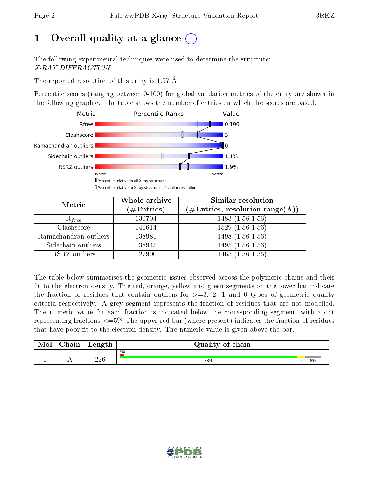# 1 [O](https://www.wwpdb.org/validation/2017/XrayValidationReportHelp#overall_quality)verall quality at a glance  $(i)$

The following experimental techniques were used to determine the structure: X-RAY DIFFRACTION

The reported resolution of this entry is  $1.57 \text{ Å}.$ 

Percentile scores (ranging between 0-100) for global validation metrics of the entry are shown in the following graphic. The table shows the number of entries on which the scores are based.



| Metric                | Whole archive<br>$(\#\text{Entries})$ | Similar resolution<br>$(\#\text{Entries},\,\text{resolution}\,\,\text{range}(\textup{\AA}))$ |  |  |
|-----------------------|---------------------------------------|----------------------------------------------------------------------------------------------|--|--|
| $R_{free}$            | 130704                                | $1483(1.56-1.56)$                                                                            |  |  |
| Clashscore            | 141614                                | $1529(1.56-1.56)$                                                                            |  |  |
| Ramachandran outliers | 138981                                | $1498(1.56-1.56)$                                                                            |  |  |
| Sidechain outliers    | 138945                                | $1495(1.56-1.56)$                                                                            |  |  |
| RSRZ outliers         | 127900                                | $1465(1.56-1.56)$                                                                            |  |  |

The table below summarises the geometric issues observed across the polymeric chains and their fit to the electron density. The red, orange, yellow and green segments on the lower bar indicate the fraction of residues that contain outliers for  $>=3, 2, 1$  and 0 types of geometric quality criteria respectively. A grey segment represents the fraction of residues that are not modelled. The numeric value for each fraction is indicated below the corresponding segment, with a dot representing fractions  $\epsilon=5\%$  The upper red bar (where present) indicates the fraction of residues that have poor fit to the electron density. The numeric value is given above the bar.

| Mol | $\cap$ hain | Length     | Quality of chain |    |
|-----|-------------|------------|------------------|----|
|     |             |            | 2%               |    |
|     |             | າາເ<br>⊿∠ຟ | 88%              | 8% |

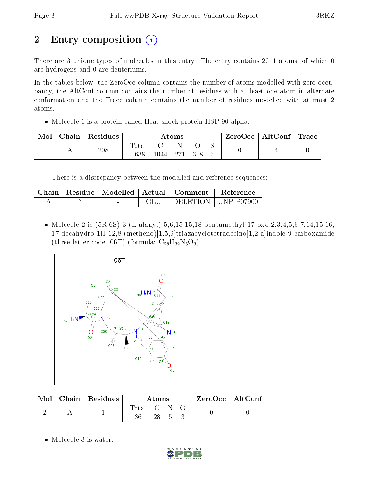# 2 Entry composition  $\left( \cdot \right)$

There are 3 unique types of molecules in this entry. The entry contains 2011 atoms, of which 0 are hydrogens and 0 are deuteriums.

In the tables below, the ZeroOcc column contains the number of atoms modelled with zero occupancy, the AltConf column contains the number of residues with at least one atom in alternate conformation and the Trace column contains the number of residues modelled with at most 2 atoms.

Molecule 1 is a protein called Heat shock protein HSP 90-alpha.

| Mol | Chain | Residues | Atoms |       |     | $\text{ZeroOcc} \mid \text{AltConf} \mid \text{Trace}$ |  |  |
|-----|-------|----------|-------|-------|-----|--------------------------------------------------------|--|--|
|     |       | 208      | Total |       |     |                                                        |  |  |
|     |       |          | 1638  | ' 044 | 271 |                                                        |  |  |

There is a discrepancy between the modelled and reference sequences:

|  |        | Chain   Residue   Modelled   Actual   Comment | Reference             |
|--|--------|-----------------------------------------------|-----------------------|
|  | $\sim$ |                                               | DELETION   UNP P07900 |

• Molecule 2 is  $(5R, 6S)$ -3- $(L$ -alanyl)-5,6,15,15,18-pentamethyl-17-oxo-2,3,4,5,6,7,14,15,16, 17-decahydro-1H-12,8-(metheno)[1,5,9]triazacyclotetradecino[1,2-a]indole-9-carboxamide (three-letter code: 06T) (formula:  $C_{28}H_{39}N_5O_3$ ).



| Mol | $\mid$ Chain $\mid$ Residues $\mid$ | Atoms     |    |  | $ZeroOcc \   \$ AltConf |  |
|-----|-------------------------------------|-----------|----|--|-------------------------|--|
|     |                                     | Total C N | 28 |  |                         |  |

• Molecule 3 is water.

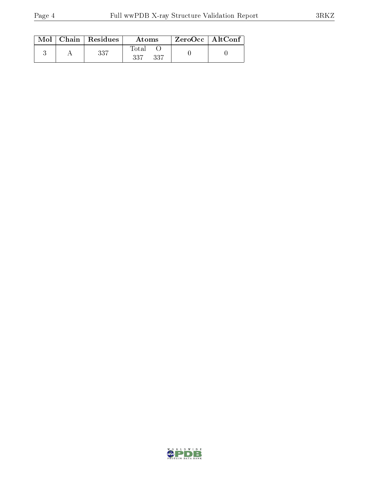| Mol | Chain   Residues | Atoms                | ZeroOcc   AltConf |  |
|-----|------------------|----------------------|-------------------|--|
|     | 337              | Total<br>-337<br>227 |                   |  |

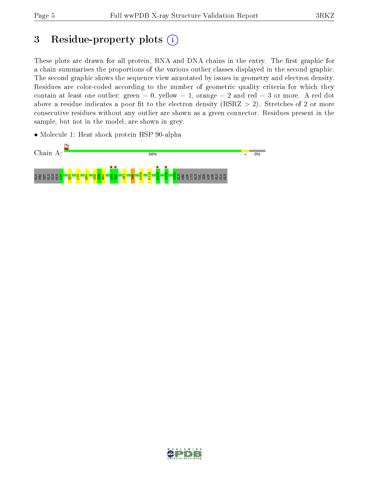## 3 Residue-property plots  $(i)$

These plots are drawn for all protein, RNA and DNA chains in the entry. The first graphic for a chain summarises the proportions of the various outlier classes displayed in the second graphic. The second graphic shows the sequence view annotated by issues in geometry and electron density. Residues are color-coded according to the number of geometric quality criteria for which they contain at least one outlier: green  $= 0$ , yellow  $= 1$ , orange  $= 2$  and red  $= 3$  or more. A red dot above a residue indicates a poor fit to the electron density (RSRZ  $> 2$ ). Stretches of 2 or more consecutive residues without any outlier are shown as a green connector. Residues present in the sample, but not in the model, are shown in grey.

• Molecule 1: Heat shock protein HSP 90-alpha



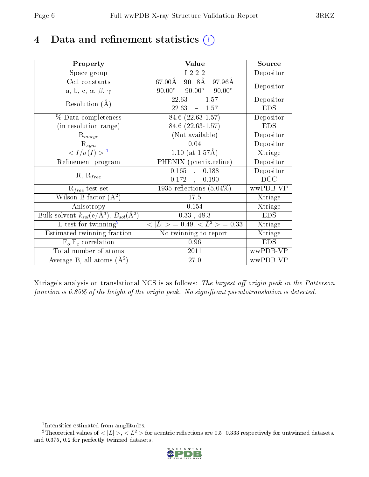## 4 Data and refinement statistics  $(i)$

| Property                                                                | Value                                              | Source     |
|-------------------------------------------------------------------------|----------------------------------------------------|------------|
| Space group                                                             | I 2 2 2                                            | Depositor  |
| Cell constants                                                          | $67.00\rm\AA$<br>90.18Å<br>97.96Å                  | Depositor  |
| a, b, c, $\alpha$ , $\beta$ , $\gamma$                                  | $90.00^{\circ}$ $90.00^{\circ}$<br>$90.00^{\circ}$ |            |
| Resolution $(A)$                                                        | $22.63 - 1.57$                                     | Depositor  |
|                                                                         | 22.63<br>$-1.57$                                   | <b>EDS</b> |
| % Data completeness                                                     | 84.6 (22.63-1.57)                                  | Depositor  |
| (in resolution range)                                                   | 84.6 (22.63-1.57)                                  | <b>EDS</b> |
| $R_{merge}$                                                             | (Not available)                                    | Depositor  |
| $\mathrm{R}_{sym}$                                                      | 0.04                                               | Depositor  |
| $\langle I/\sigma(I) \rangle^{-1}$                                      | 1.10 (at $1.57\text{\AA})$                         | Xtriage    |
| Refinement program                                                      | PHENIX (phenix.refine)                             | Depositor  |
|                                                                         | 0.165<br>0.188<br>$\mathcal{L}_{\mathcal{A}}$      | Depositor  |
| $R, R_{free}$                                                           | $0.172$ ,<br>0.190                                 | DCC        |
| $\mathcal{R}_{free}$ test set                                           | 1935 reflections $(5.04\%)$                        | wwPDB-VP   |
| Wilson B-factor $(A^2)$                                                 | 17.5                                               | Xtriage    |
| Anisotropy                                                              | 0.154                                              | Xtriage    |
| Bulk solvent $k_{sol}(\mathrm{e}/\mathrm{A}^3),\,B_{sol}(\mathrm{A}^2)$ | $0.33$ , 48.3                                      | <b>EDS</b> |
| L-test for twinning <sup>2</sup>                                        | $< L >$ = 0.49, $< L2$ = 0.33                      | Xtriage    |
| Estimated twinning fraction                                             | No twinning to report.                             | Xtriage    |
| $F_o, F_c$ correlation                                                  | 0.96                                               | <b>EDS</b> |
| Total number of atoms                                                   | 2011                                               | wwPDB-VP   |
| Average B, all atoms $(A^2)$                                            | 27.0                                               | wwPDB-VP   |

Xtriage's analysis on translational NCS is as follows: The largest off-origin peak in the Patterson function is  $6.85\%$  of the height of the origin peak. No significant pseudotranslation is detected.

<sup>&</sup>lt;sup>2</sup>Theoretical values of  $\langle |L| \rangle$ ,  $\langle L^2 \rangle$  for acentric reflections are 0.5, 0.333 respectively for untwinned datasets, and 0.375, 0.2 for perfectly twinned datasets.



<span id="page-5-1"></span><span id="page-5-0"></span><sup>1</sup> Intensities estimated from amplitudes.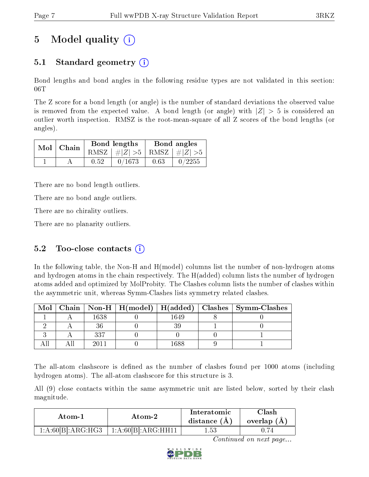# 5 Model quality  $(i)$

## 5.1 Standard geometry (i)

Bond lengths and bond angles in the following residue types are not validated in this section: 06T

The Z score for a bond length (or angle) is the number of standard deviations the observed value is removed from the expected value. A bond length (or angle) with  $|Z| > 5$  is considered an outlier worth inspection. RMSZ is the root-mean-square of all Z scores of the bond lengths (or angles).

|  | $Mol$   Chain |      | Bond lengths                    | Bond angles |                                                                           |  |
|--|---------------|------|---------------------------------|-------------|---------------------------------------------------------------------------|--|
|  |               |      | RMSZ $ #Z  > 5$ RMSZ $ #Z  > 5$ |             |                                                                           |  |
|  |               | 0.52 | 0/1673                          | 0.63        | $\begin{array}{c} \begin{array}{c} \text{0}/2255 \end{array} \end{array}$ |  |

There are no bond length outliers.

There are no bond angle outliers.

There are no chirality outliers.

There are no planarity outliers.

### 5.2 Too-close contacts  $(i)$

In the following table, the Non-H and H(model) columns list the number of non-hydrogen atoms and hydrogen atoms in the chain respectively. The H(added) column lists the number of hydrogen atoms added and optimized by MolProbity. The Clashes column lists the number of clashes within the asymmetric unit, whereas Symm-Clashes lists symmetry related clashes.

| Mol |      |      | $\mid$ Chain $\mid$ Non-H $\mid$ H(model) $\mid$ H(added) $\mid$ Clashes $\mid$ Symm-Clashes |
|-----|------|------|----------------------------------------------------------------------------------------------|
|     | 1638 | 1649 |                                                                                              |
|     |      |      |                                                                                              |
|     | 337  |      |                                                                                              |
|     | າດ11 | 388  |                                                                                              |

The all-atom clashscore is defined as the number of clashes found per 1000 atoms (including hydrogen atoms). The all-atom clashscore for this structure is 3.

All (9) close contacts within the same asymmetric unit are listed below, sorted by their clash magnitude.

| Atom-1            | Atom-2             | Interatomic<br>distance $(A)$ | Clash<br>overlap $(A)$ |
|-------------------|--------------------|-------------------------------|------------------------|
| 1:A:60[B]:ARG:HG3 | 1:A:60[B]:ARG:HH11 | l.53                          |                        |

Continued on next page...

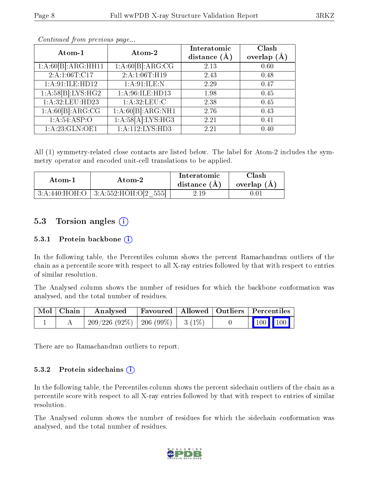| Atom-1              | Atom-2            | Interatomic      | Clash         |
|---------------------|-------------------|------------------|---------------|
|                     |                   | distance $(\AA)$ | overlap $(A)$ |
| 1:A:60[B]:ARG:HH11  | 1:A:60[B]:ARG:CG  | 2.13             | 0.60          |
| 2: A: 1: 06T: C17   | 2: A:1:06T:H19    | 2.43             | 0.48          |
| 1: A:91: ILE: HD12  | 1: A:91: ILE:N    | 2.29             | 0.47          |
| 1: A:58[B]: LYS:HG2 | 1:A:96:ILE:HD13   | 1.98             | 0.45          |
| 1: A:32: LEU: HD23  | 1: A:32:LEU:C     | 2.38             | 0.45          |
| 1:A:60[B]:ARG:CG    | 1:A:60[B]:ARG:NH1 | 2.76             | 0.43          |
| 1: A:54:ASP:O       | 1:A:58[A]:LYS:HG3 | 2.21             | 0.41          |
| 1:A:23:GLN:OE1      | 1:A:112:LYS:HD3   | 2.21             | 0.40          |

Continued from previous page...

All (1) symmetry-related close contacts are listed below. The label for Atom-2 includes the symmetry operator and encoded unit-cell translations to be applied.

| Atom-1 | Atom-2                                   | Interatomic<br>distance $(A)$ | Clash<br>overlap $(A)$ |
|--------|------------------------------------------|-------------------------------|------------------------|
|        | $3:A:440:HOH:O$   $3:A:552:HOH:O[2 555]$ | $2.19\,$                      | 0.01                   |

### 5.3 Torsion angles (i)

#### 5.3.1 Protein backbone  $(i)$

In the following table, the Percentiles column shows the percent Ramachandran outliers of the chain as a percentile score with respect to all X-ray entries followed by that with respect to entries of similar resolution.

The Analysed column shows the number of residues for which the backbone conformation was analysed, and the total number of residues.

| Mol   Chain | Analysed                                |  | Favoured   Allowed   Outliers   Percentiles                           |  |  |
|-------------|-----------------------------------------|--|-----------------------------------------------------------------------|--|--|
|             | $209/226$ (92\%)   206 (99\%)   3 (1\%) |  | $\begin{array}{c c c c c} \hline \text{100} & \text{100} \end{array}$ |  |  |

There are no Ramachandran outliers to report.

#### 5.3.2 Protein sidechains  $(i)$

In the following table, the Percentiles column shows the percent sidechain outliers of the chain as a percentile score with respect to all X-ray entries followed by that with respect to entries of similar resolution.

The Analysed column shows the number of residues for which the sidechain conformation was analysed, and the total number of residues.

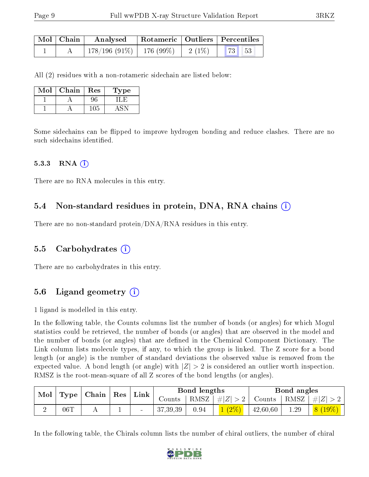| $\mid$ Mol $\mid$ Chain | Analysed                                |  | Rotameric   Outliers   Percentiles |  |  |
|-------------------------|-----------------------------------------|--|------------------------------------|--|--|
|                         | $178/196$ (91\%)   176 (99\%)   2 (1\%) |  | 73 53                              |  |  |

All (2) residues with a non-rotameric sidechain are listed below:

| Mol | Chain | Res | Type |
|-----|-------|-----|------|
|     |       |     |      |
|     |       | 105 |      |

Some sidechains can be flipped to improve hydrogen bonding and reduce clashes. There are no such sidechains identified.

#### 5.3.3 RNA  $(i)$

There are no RNA molecules in this entry.

#### 5.4 Non-standard residues in protein, DNA, RNA chains (i)

There are no non-standard protein/DNA/RNA residues in this entry.

#### 5.5 Carbohydrates (i)

There are no carbohydrates in this entry.

### 5.6 Ligand geometry  $(i)$

1 ligand is modelled in this entry.

In the following table, the Counts columns list the number of bonds (or angles) for which Mogul statistics could be retrieved, the number of bonds (or angles) that are observed in the model and the number of bonds (or angles) that are defined in the Chemical Component Dictionary. The Link column lists molecule types, if any, to which the group is linked. The Z score for a bond length (or angle) is the number of standard deviations the observed value is removed from the expected value. A bond length (or angle) with  $|Z| > 2$  is considered an outlier worth inspection. RMSZ is the root-mean-square of all Z scores of the bond lengths (or angles).

| $\mid$ Type $\mid$ Chain $\mid$<br>Mol |     |  | $\operatorname{Res}$ |  |          |      |                    |               |      |            |  |  | Link |  | Bond lengths |  |  | Bond angles |  |
|----------------------------------------|-----|--|----------------------|--|----------|------|--------------------|---------------|------|------------|--|--|------|--|--------------|--|--|-------------|--|
|                                        |     |  |                      |  | Counts   |      | RMSZ   $\# Z  > 2$ | Counts   RMSZ |      | $ #Z  > 2$ |  |  |      |  |              |  |  |             |  |
|                                        | 06T |  |                      |  | 37,39,39 | 0.94 | $1(2\%)$           | 42,60,60      | 1.29 | $8(19\%)$  |  |  |      |  |              |  |  |             |  |

In the following table, the Chirals column lists the number of chiral outliers, the number of chiral

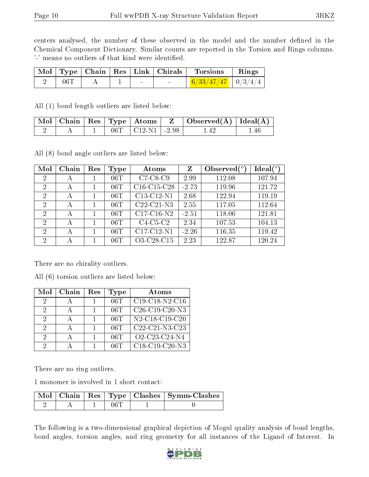centers analysed, the number of these observed in the model and the number defined in the Chemical Component Dictionary. Similar counts are reported in the Torsion and Rings columns. '-' means no outliers of that kind were identified.

|     |  |        | Mol   Type   Chain   Res   Link   Chirals | Torsions                      | $\vert$ Rings |
|-----|--|--------|-------------------------------------------|-------------------------------|---------------|
| 06T |  | $\sim$ |                                           | $\frac{6/33/47/47}{10/3/4/4}$ |               |

All (1) bond length outliers are listed below:

|  |  | $\mid$ Mol $\mid$ Chain $\mid$ Res $\mid$ Type $\mid$ Atoms $\mid$ | $\mid$ Observed( $\rm \AA)$   Ideal( $\rm \AA)$ |     |
|--|--|--------------------------------------------------------------------|-------------------------------------------------|-----|
|  |  | $06T$   C12-N1   -2.98                                             |                                                 | .46 |

All (8) bond angle outliers are listed below:

| Mol            | Chain | Res | Type | Atoms                                             | Z       | Observed $(°)$ | Ideal $(^o)$ |
|----------------|-------|-----|------|---------------------------------------------------|---------|----------------|--------------|
| 2              | А     |     | 06T  | $C7-C8-C9$                                        | 2.99    | 112.08         | 107.94       |
| $\overline{2}$ | А     |     | 06T  | C <sub>16</sub> -C <sub>15</sub> -C <sub>28</sub> | $-2.73$ | 119.96         | 121.72       |
| 2              | А     |     | 06T  | C13-C12-N1                                        | 2.68    | 122.94         | 119.19       |
| 2              | А     | 1   | 06T  | C <sub>22</sub> -C <sub>21</sub> -N <sub>3</sub>  | 2.55    | 117.05         | 112.64       |
| $\overline{2}$ | А     | 1   | 06T  | $C17-C16-N2$                                      | $-2.51$ | 118.06         | 121.81       |
| 2              | А     |     | 06T  | $C4-C5-C2$                                        | 2.34    | 107.53         | 104.13       |
| $\overline{2}$ | А     |     | 06T  | C17-C12-N1                                        | $-2.26$ | 116.35         | 119.42       |
| 2              | А     |     | 06T  | O3-C28-C15                                        | 2.23    | 122.87         | 120.24       |

There are no chirality outliers.

All (6) torsion outliers are listed below:

| Mol           | Chain | $\operatorname{Res}% \left( \mathcal{N}\right) \equiv\operatorname{Res}(\mathcal{N}_{0})\cap\mathcal{N}_{1}$ | Type | Atoms                                                             |
|---------------|-------|--------------------------------------------------------------------------------------------------------------|------|-------------------------------------------------------------------|
| 2             |       |                                                                                                              | 06T  | C19-C18-N2-C16                                                    |
| 2             |       |                                                                                                              | 06T  | C <sub>26</sub> -C <sub>19</sub> -C <sub>20</sub> -N <sub>3</sub> |
| 2             |       |                                                                                                              | 06T  | N2-C18-C19-C20                                                    |
| $\mathcal{D}$ |       |                                                                                                              | 06T  | C <sub>22</sub> -C <sub>21</sub> -N <sub>3</sub> -C <sub>23</sub> |
| $\mathcal{D}$ |       |                                                                                                              | 06T  | O2-C23-C24-N4                                                     |
|               |       |                                                                                                              | 06T  | $C18-C19-C20-N3$                                                  |

There are no ring outliers.

1 monomer is involved in 1 short contact:

|  |      | Mol   Chain   Res   Type   Clashes   Symm-Clashes |
|--|------|---------------------------------------------------|
|  | 06 T |                                                   |

The following is a two-dimensional graphical depiction of Mogul quality analysis of bond lengths, bond angles, torsion angles, and ring geometry for all instances of the Ligand of Interest. In

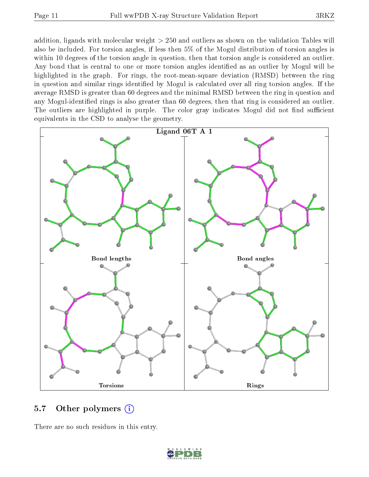addition, ligands with molecular weight > 250 and outliers as shown on the validation Tables will also be included. For torsion angles, if less then 5% of the Mogul distribution of torsion angles is within 10 degrees of the torsion angle in question, then that torsion angle is considered an outlier. Any bond that is central to one or more torsion angles identified as an outlier by Mogul will be highlighted in the graph. For rings, the root-mean-square deviation (RMSD) between the ring in question and similar rings identified by Mogul is calculated over all ring torsion angles. If the average RMSD is greater than 60 degrees and the minimal RMSD between the ring in question and any Mogul-identied rings is also greater than 60 degrees, then that ring is considered an outlier. The outliers are highlighted in purple. The color gray indicates Mogul did not find sufficient equivalents in the CSD to analyse the geometry.



#### 5.7 [O](https://www.wwpdb.org/validation/2017/XrayValidationReportHelp#nonstandard_residues_and_ligands)ther polymers (i)

There are no such residues in this entry.

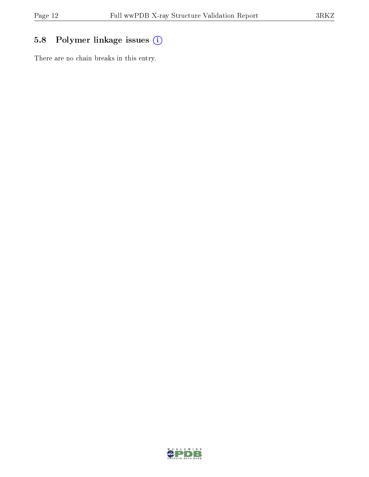## 5.8 Polymer linkage issues (i)

There are no chain breaks in this entry.

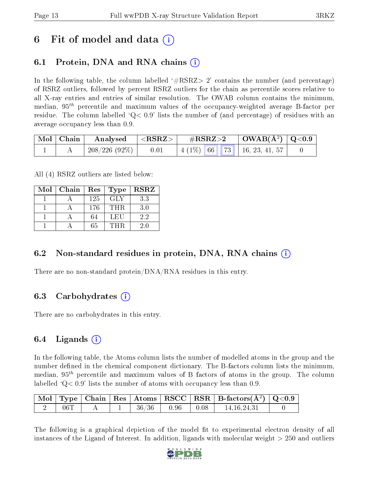## 6 Fit of model and data  $\left( \cdot \right)$

## 6.1 Protein, DNA and RNA chains (i)

In the following table, the column labelled  $#RSRZ>2'$  contains the number (and percentage) of RSRZ outliers, followed by percent RSRZ outliers for the chain as percentile scores relative to all X-ray entries and entries of similar resolution. The OWAB column contains the minimum, median,  $95<sup>th</sup>$  percentile and maximum values of the occupancy-weighted average B-factor per residue. The column labelled  $Q < 0.9$  lists the number of (and percentage) of residues with an average occupancy less than 0.9.

|  | $\mid$ Mol $\mid$ Chain $\mid$ Analysed $\mid$ <rsrz> <math>\mid</math></rsrz> |      | $\#RSRZ>2$ $\Box$ OWAB(Å <sup>2</sup> ) $\Box$ Q<0.9 |  |  |                                           |  |
|--|--------------------------------------------------------------------------------|------|------------------------------------------------------|--|--|-------------------------------------------|--|
|  | 208/226 (92%)                                                                  | 0.01 |                                                      |  |  | $\mid$ 4 (1%) 66 73 $\mid$ 16, 23, 41, 57 |  |

All (4) RSRZ outliers are listed below:

| Mol | Chain | <b>Type</b><br>Res |            | <b>RSRZ</b> |  |
|-----|-------|--------------------|------------|-------------|--|
|     |       | 125                | <b>GLY</b> | 3.3         |  |
|     |       | 176                | THR.       | 3.0         |  |
|     |       | 64                 | LEU        | 2.2         |  |
|     |       | 65                 | THR        | 20          |  |

### 6.2 Non-standard residues in protein, DNA, RNA chains  $(i)$

There are no non-standard protein/DNA/RNA residues in this entry.

### 6.3 Carbohydrates (i)

There are no carbohydrates in this entry.

### $6.4$  Ligands  $(i)$

In the following table, the Atoms column lists the number of modelled atoms in the group and the number defined in the chemical component dictionary. The B-factors column lists the minimum, median,  $95<sup>th</sup>$  percentile and maximum values of B factors of atoms in the group. The column labelled  $Q< 0.9$  lists the number of atoms with occupancy less than 0.9.

|     |  |       |      |      | $\vert$ Mol $\vert$ Type $\vert$ Chain $\vert$ Res $\vert$ Atoms $\vert$ RSCC $\vert$ RSR $\vert$ B-factors(A <sup>2</sup> ) $\vert$ Q<0.9 |  |
|-----|--|-------|------|------|--------------------------------------------------------------------------------------------------------------------------------------------|--|
| 06T |  | 36/36 | 0.96 | 0.08 | 14.16.24.31                                                                                                                                |  |

The following is a graphical depiction of the model fit to experimental electron density of all instances of the Ligand of Interest. In addition, ligands with molecular weight  $> 250$  and outliers